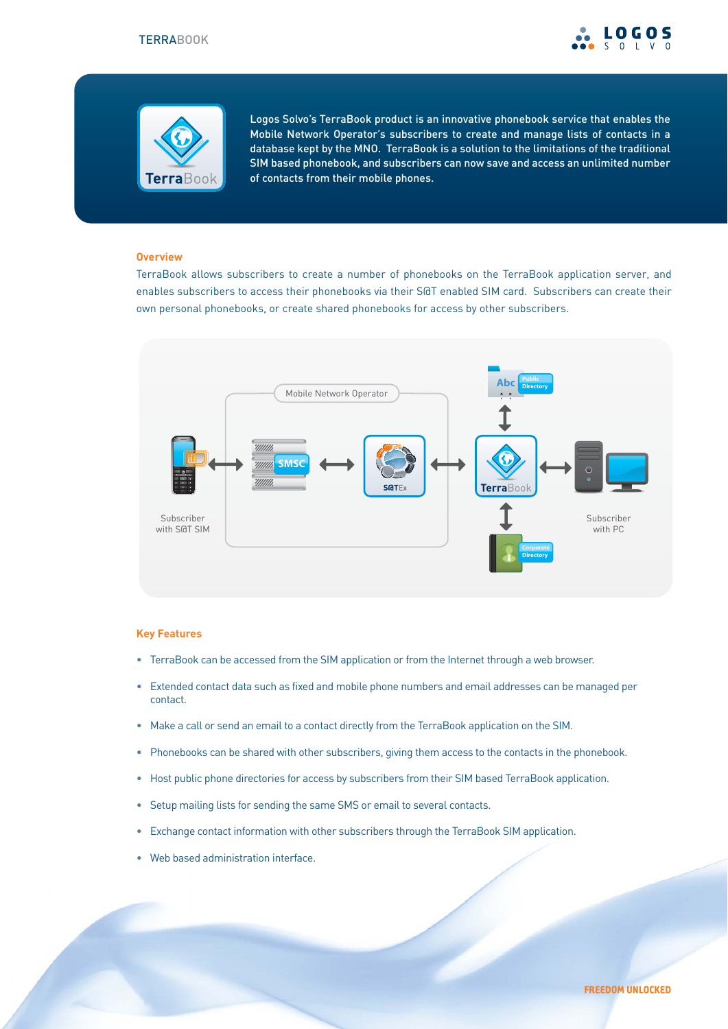



Logos Solvo's TerraBook product is an innovative phonebook service that enables the Mobile Network Operator's subscribers to create and manage lists of contacts in a database kept by the MNO. TerraBook is a solution to the limitations of the traditional SIM based phonebook, and subscribers can now save and access an unlimited number of contacts from their mobile phones.

#### **Overview**

TerraBook allows subscribers to create a number of phonebooks on the TerraBook application server, and enables subscribers to access their phonebooks via their S@T enabled SIM card. Subscribers can create their own personal phonebooks, or create shared phonebooks for access by other subscribers.



### **Key Features**

- TerraBook can be accessed from the SIM application or from the Internet through a web browser.
- Extended contact data such as fixed and mobile phone numbers and email addresses can be managed per contact.
- Make a call or send an email to a contact directly from the TerraBook application on the SIM.
- Phonebooks can be shared with other subscribers, giving them access to the contacts in the phonebook.
- Host public phone directories for access by subscribers from their SIM based TerraBook application.
- Setup mailing lists for sending the same SMS or email to several contacts.
- Exchange contact information with other subscribers through the TerraBook SIM application.
- Web based administration interface.